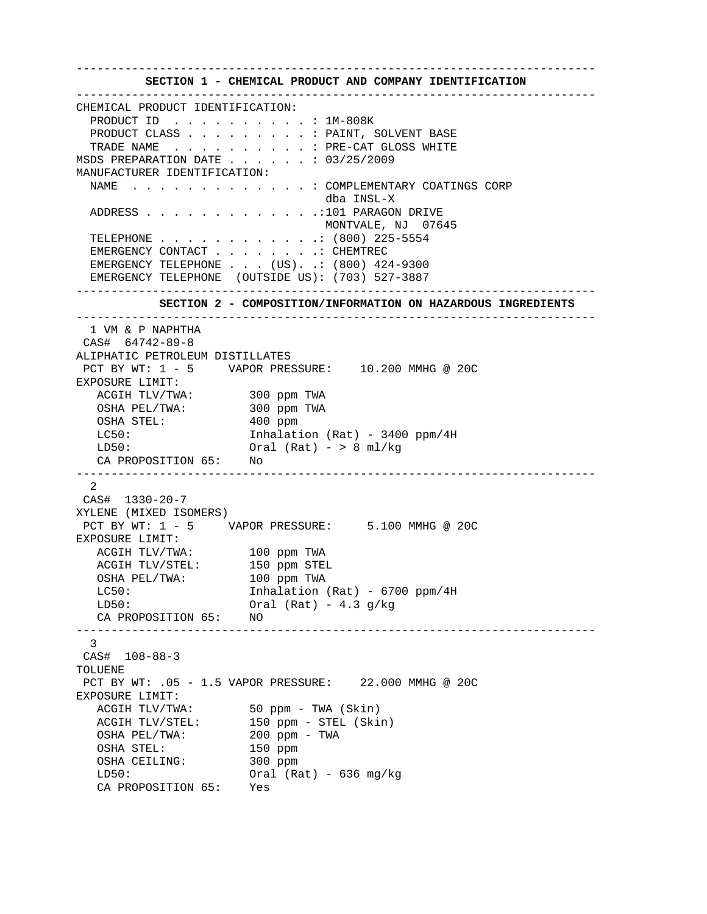---------------------------------------------------------------------------

 **SECTION 1 - CHEMICAL PRODUCT AND COMPANY IDENTIFICATION**  --------------------------------------------------------------------------- CHEMICAL PRODUCT IDENTIFICATION: PRODUCT ID . . . . . . . . . . : 1M-808K PRODUCT CLASS . . . . . . . . . . PAINT, SOLVENT BASE TRADE NAME . . . . . . . . . . : PRE-CAT GLOSS WHITE MSDS PREPARATION DATE . . . . . . : 03/25/2009 MANUFACTURER IDENTIFICATION: NAME . . . . . . . . . . . . . : COMPLEMENTARY COATINGS CORP dba INSL-X ADDRESS . . . . . . . . . . . . .:101 PARAGON DRIVE MONTVALE, NJ 07645 TELEPHONE . . . . . . . . . . . .: (800) 225-5554 EMERGENCY CONTACT . . . . . . . . CHEMTREC EMERGENCY TELEPHONE . . . (US). .: (800) 424-9300 EMERGENCY TELEPHONE (OUTSIDE US): (703) 527-3887 ---------------------------------------------------------------------------  **SECTION 2 - COMPOSITION/INFORMATION ON HAZARDOUS INGREDIENTS**  --------------------------------------------------------------------------- 1 VM & P NAPHTHA CAS# 64742-89-8 ALIPHATIC PETROLEUM DISTILLATES PCT BY WT: 1 - 5 VAPOR PRESSURE: 10.200 MMHG @ 20C EXPOSURE LIMIT: ACGIH TLV/TWA: 300 ppm TWA OSHA PEL/TWA: 300 ppm TWA OSHA STEL: 400 ppm LC50: Inhalation (Rat) - 3400 ppm/4H  $LD50:$  Oral (Rat) - > 8 ml/kg CA PROPOSITION 65: No --------------------------------------------------------------------------- 2 CAS# 1330-20-7 XYLENE (MIXED ISOMERS) PCT BY WT: 1 - 5 VAPOR PRESSURE: 5.100 MMHG @ 20C EXPOSURE LIMIT: ACGIH TLV/TWA: 100 ppm TWA<br>ACGIH TLV/STEL: 150 ppm STEL ACGIH TLV/STEL: OSHA PEL/TWA: 100 ppm TWA LC50: Inhalation (Rat) - 6700 ppm/4H  $LD50:$  Oral (Rat) - 4.3 g/kg CA PROPOSITION 65: NO --------------------------------------------------------------------------- 3 CAS# 108-88-3 TOLUENE PCT BY WT: .05 - 1.5 VAPOR PRESSURE: 22.000 MMHG @ 20C EXPOSURE LIMIT: ACGIH TLV/TWA: 50 ppm - TWA (Skin) ACGIH TLV/STEL: 150 ppm - STEL (Skin) OSHA PEL/TWA: 200 ppm - TWA<br>OSHA STEL: 150 ppm OSHA STEL: 150 ppm<br>
OSHA CEILING: 300 ppm OSHA CEILING: LD50: Oral (Rat) - 636 mg/kg CA PROPOSITION 65: Yes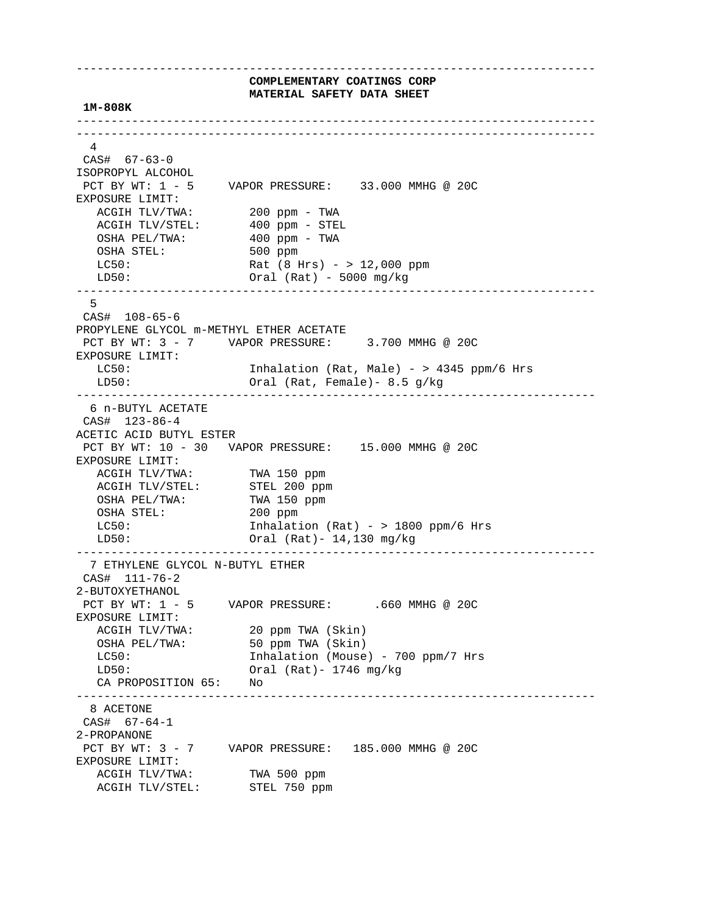---------------------------------------------------------------------------  **COMPLEMENTARY COATINGS CORP MATERIAL SAFETY DATA SHEET 1M-808K**  --------------------------------------------------------------------------- --------------------------------------------------------------------------- 4 CAS# 67-63-0 ISOPROPYL ALCOHOL PCT BY WT: 1 - 5 VAPOR PRESSURE: 33.000 MMHG @ 20C EXPOSURE LIMIT: ACGIH TLV/TWA: 200 ppm - TWA<br>ACGIH TLV/STEL: 400 ppm - STEI  $400$  ppm - STEL<br> $400$  ppm - STEL OSHA PEL/TWA: 400 ppm - TWA OSHA STEL: 500 ppm LC50: Rat (8 Hrs) - > 12,000 ppm LD50: Oral (Rat) - 5000 mg/kg --------------------------------------------------------------------------- 5 CAS# 108-65-6 PROPYLENE GLYCOL m-METHYL ETHER ACETATE PCT BY WT: 3 - 7 VAPOR PRESSURE: 3.700 MMHG @ 20C EXPOSURE LIMIT: LC50: Inhalation (Rat, Male) - > 4345 ppm/6 Hrs LD50: Oral (Rat, Female)- 8.5 g/kg --------------------------------------------------------------------------- 6 n-BUTYL ACETATE CAS# 123-86-4 ACETIC ACID BUTYL ESTER PCT BY WT: 10 - 30 VAPOR PRESSURE: 15.000 MMHG @ 20C EXPOSURE LIMIT: ACGIH TLV/TWA: TWA 150 ppm<br>ACGIH TLV/STEL: STEL 200 ppm ACGIH IDV/ING<br>ACGIH TLV/STEL: STEL 200 ppm<br>OSHA PEL/TWA: TWA 150 ppm OSHA PEL/TWA: OSHA STEL: 200 ppm LC50: Inhalation (Rat) - > 1800 ppm/6 Hrs LD50: Oral (Rat)- 14,130 mg/kg --------------------------------------------------------------------------- 7 ETHYLENE GLYCOL N-BUTYL ETHER CAS# 111-76-2 2-BUTOXYETHANOL<br>PCT BY WT: 1 - 5 VAPOR PRESSURE: .660 MMHG @ 20C EXPOSURE LIMIT: ACGIH TLV/TWA: 20 ppm TWA (Skin) OSHA PEL/TWA: 50 ppm TWA (Skin) LC50: Inhalation (Mouse) - 700 ppm/7 Hrs LD50: Oral (Rat)- 1746 mg/kg CA PROPOSITION 65: No --------------------------------------------------------------------------- 8 ACETONE CAS# 67-64-1 2-PROPANONE PCT BY WT: 3 - 7 VAPOR PRESSURE: 185.000 MMHG @ 20C EXPOSURE LIMIT: ACGIH TLV/TWA: TWA 500 ppm<br>ACGIH TLV/STEL: STEL 750 ppm ACGIH TLV/STEL: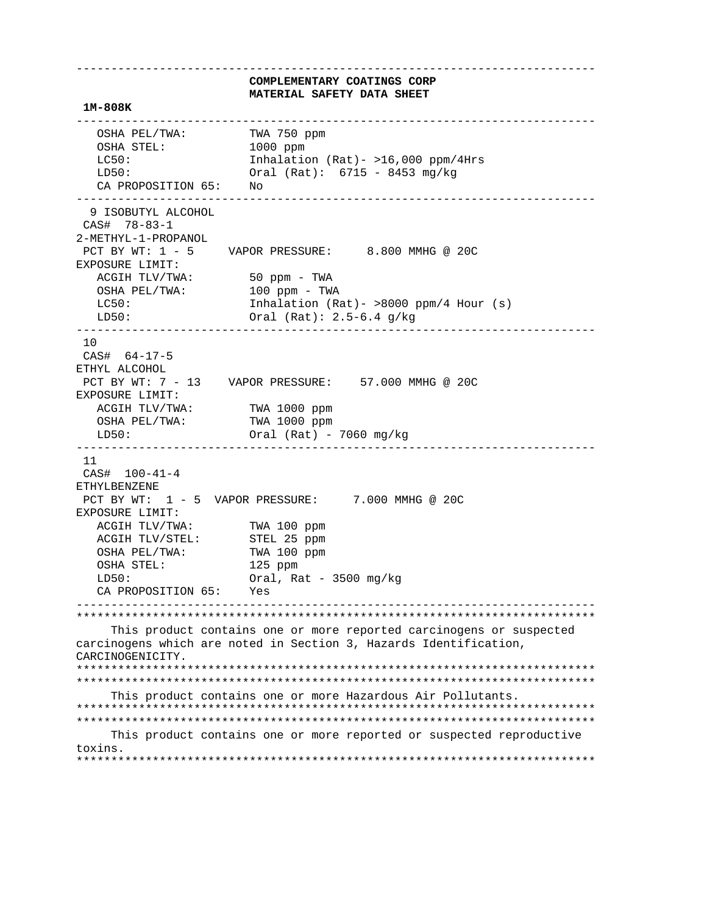**COMPLEMENTARY COATINGS CORP MATERIAL SAFETY DATA SHEET 1M-808K**  --------------------------------------------------------------------------- OSHA PEL/TWA: TWA 750 ppm OSHA STEL: 1000 ppm<br>
LC50: 1nhalatio Inhalation (Rat)-  $>16,000$  ppm/4Hrs LD50: Oral (Rat): 6715 - 8453 mg/kg CA PROPOSITION 65: No --------------------------------------------------------------------------- 9 ISOBUTYL ALCOHOL CAS# 78-83-1 2-METHYL-1-PROPANOL PCT BY WT: 1 - 5 VAPOR PRESSURE: 8.800 MMHG @ 20C EXPOSURE LIMIT: ACGIH TLV/TWA: 50 ppm - TWA OSHA PEL/TWA: 100 ppm - TWA LC50: Inhalation (Rat) - >8000 ppm/4 Hour (s) LD50: Oral (Rat): 2.5-6.4 g/kg --------------------------------------------------------------------------- 10 CAS# 64-17-5 ETHYL ALCOHOL PCT BY WT: 7 - 13 VAPOR PRESSURE: 57.000 MMHG @ 20C EXPOSURE LIMIT: ACGIH TLV/TWA: TWA 1000 ppm<br>
OSHA PEL/TWA: TWA 1000 ppm OSHA PEL/TWA: LD50: Oral (Rat) - 7060 mg/kg --------------------------------------------------------------------------- 11 CAS# 100-41-4 ETHYLBENZENE PCT BY WT: 1 - 5 VAPOR PRESSURE: 7.000 MMHG @ 20C EXPOSURE LIMIT: ACGIH TLV/TWA: TWA 100 ppm ACGIH TLV/STEL: STEL 25 ppm OSHA PEL/TWA: TWA 100 ppm<br>
OSHA STEL: 125 ppm OSHA STEL: LD50: Oral, Rat - 3500 mg/kg CA PROPOSITION 65: Yes --------------------------------------------------------------------------- \*\*\*\*\*\*\*\*\*\*\*\*\*\*\*\*\*\*\*\*\*\*\*\*\*\*\*\*\*\*\*\*\*\*\*\*\*\*\*\*\*\*\*\*\*\*\*\*\*\*\*\*\*\*\*\*\*\*\*\*\*\*\*\*\*\*\*\*\*\*\*\*\*\*\* This product contains one or more reported carcinogens or suspected carcinogens which are noted in Section 3, Hazards Identification, CARCINOGENICITY. \*\*\*\*\*\*\*\*\*\*\*\*\*\*\*\*\*\*\*\*\*\*\*\*\*\*\*\*\*\*\*\*\*\*\*\*\*\*\*\*\*\*\*\*\*\*\*\*\*\*\*\*\*\*\*\*\*\*\*\*\*\*\*\*\*\*\*\*\*\*\*\*\*\*\* \*\*\*\*\*\*\*\*\*\*\*\*\*\*\*\*\*\*\*\*\*\*\*\*\*\*\*\*\*\*\*\*\*\*\*\*\*\*\*\*\*\*\*\*\*\*\*\*\*\*\*\*\*\*\*\*\*\*\*\*\*\*\*\*\*\*\*\*\*\*\*\*\*\*\* This product contains one or more Hazardous Air Pollutants. \*\*\*\*\*\*\*\*\*\*\*\*\*\*\*\*\*\*\*\*\*\*\*\*\*\*\*\*\*\*\*\*\*\*\*\*\*\*\*\*\*\*\*\*\*\*\*\*\*\*\*\*\*\*\*\*\*\*\*\*\*\*\*\*\*\*\*\*\*\*\*\*\*\*\* \*\*\*\*\*\*\*\*\*\*\*\*\*\*\*\*\*\*\*\*\*\*\*\*\*\*\*\*\*\*\*\*\*\*\*\*\*\*\*\*\*\*\*\*\*\*\*\*\*\*\*\*\*\*\*\*\*\*\*\*\*\*\*\*\*\*\*\*\*\*\*\*\*\*\* This product contains one or more reported or suspected reproductive toxins.

\*\*\*\*\*\*\*\*\*\*\*\*\*\*\*\*\*\*\*\*\*\*\*\*\*\*\*\*\*\*\*\*\*\*\*\*\*\*\*\*\*\*\*\*\*\*\*\*\*\*\*\*\*\*\*\*\*\*\*\*\*\*\*\*\*\*\*\*\*\*\*\*\*\*\*

---------------------------------------------------------------------------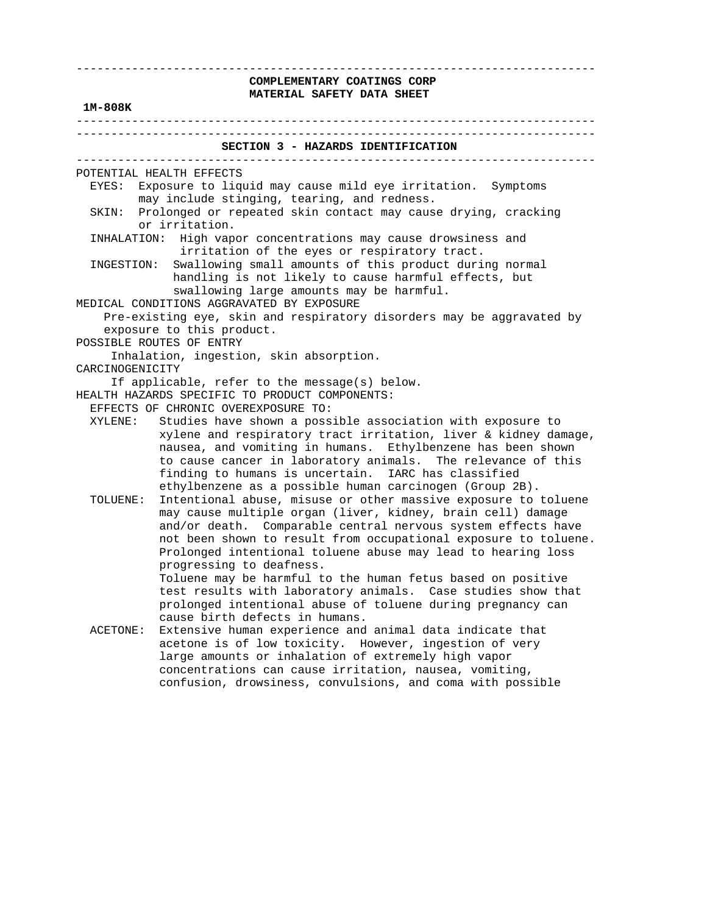## ---------------------------------------------------------------------------  **COMPLEMENTARY COATINGS CORP MATERIAL SAFETY DATA SHEET**

### **1M-808K**

 --------------------------------------------------------------------------- ---------------------------------------------------------------------------  **SECTION 3 - HAZARDS IDENTIFICATION**  --------------------------------------------------------------------------- POTENTIAL HEALTH EFFECTS EYES: Exposure to liquid may cause mild eye irritation. Symptoms may include stinging, tearing, and redness. SKIN: Prolonged or repeated skin contact may cause drying, cracking or irritation. INHALATION: High vapor concentrations may cause drowsiness and irritation of the eyes or respiratory tract. INGESTION: Swallowing small amounts of this product during normal handling is not likely to cause harmful effects, but swallowing large amounts may be harmful. MEDICAL CONDITIONS AGGRAVATED BY EXPOSURE Pre-existing eye, skin and respiratory disorders may be aggravated by exposure to this product. POSSIBLE ROUTES OF ENTRY Inhalation, ingestion, skin absorption. CARCINOGENICITY If applicable, refer to the message(s) below. HEALTH HAZARDS SPECIFIC TO PRODUCT COMPONENTS: EFFECTS OF CHRONIC OVEREXPOSURE TO: XYLENE: Studies have shown a possible association with exposure to xylene and respiratory tract irritation, liver & kidney damage, nausea, and vomiting in humans. Ethylbenzene has been shown to cause cancer in laboratory animals. The relevance of this finding to humans is uncertain. IARC has classified ethylbenzene as a possible human carcinogen (Group 2B). TOLUENE: Intentional abuse, misuse or other massive exposure to toluene may cause multiple organ (liver, kidney, brain cell) damage and/or death. Comparable central nervous system effects have not been shown to result from occupational exposure to toluene. Prolonged intentional toluene abuse may lead to hearing loss progressing to deafness. Toluene may be harmful to the human fetus based on positive test results with laboratory animals. Case studies show that prolonged intentional abuse of toluene during pregnancy can cause birth defects in humans. ACETONE: Extensive human experience and animal data indicate that acetone is of low toxicity. However, ingestion of very large amounts or inhalation of extremely high vapor concentrations can cause irritation, nausea, vomiting,

confusion, drowsiness, convulsions, and coma with possible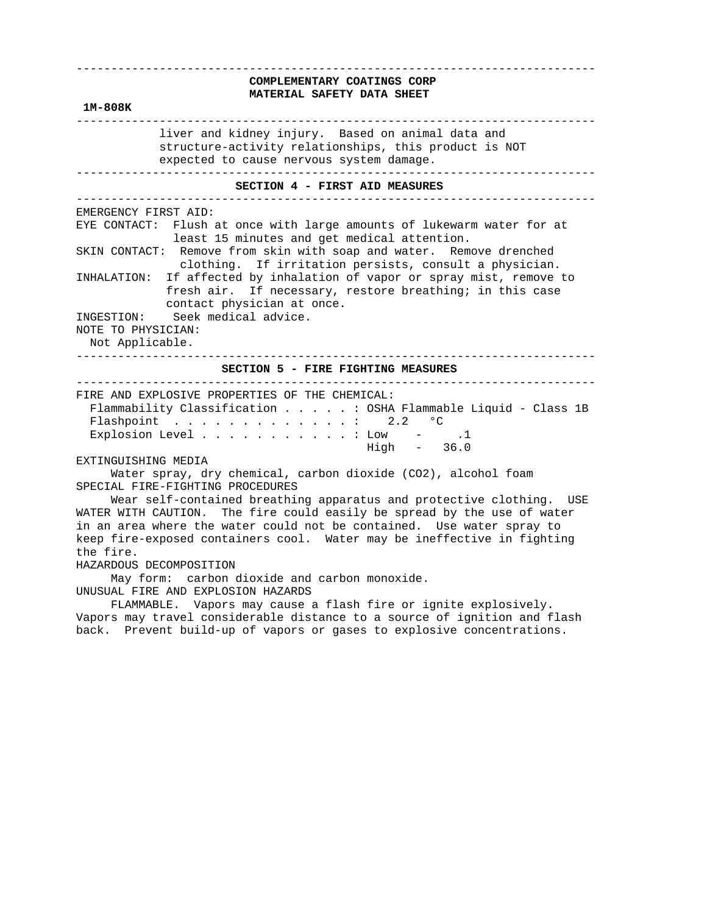# ---------------------------------------------------------------------------  **COMPLEMENTARY COATINGS CORP MATERIAL SAFETY DATA SHEET 1M-808K**  -------------------------------------------------------------------------- liver and kidney injury. Based on animal data and structure-activity relationships, this product is NOT expected to cause nervous system damage. ---------------------------------------------------------------------------  **SECTION 4 - FIRST AID MEASURES**  --------------------------------------------------------------------------- EMERGENCY FIRST AID: EYE CONTACT: Flush at once with large amounts of lukewarm water for at least 15 minutes and get medical attention. SKIN CONTACT: Remove from skin with soap and water. Remove drenched clothing. If irritation persists, consult a physician. INHALATION: If affected by inhalation of vapor or spray mist, remove to fresh air. If necessary, restore breathing; in this case contact physician at once. INGESTION: Seek medical advice. NOTE TO PHYSICIAN: Not Applicable. ---------------------------------------------------------------------------  **SECTION 5 - FIRE FIGHTING MEASURES**  --------------------------------------------------------------------------- FIRE AND EXPLOSIVE PROPERTIES OF THE CHEMICAL: Flammability Classification . . . . . : OSHA Flammable Liquid - Class 1B Flashpoint . . . . . . . . . . . . : 2.2  $^{\circ}$ C Explosion Level . . . . . . . . . . . : Low - .1 High - 36.0 EXTINGUISHING MEDIA

 Water spray, dry chemical, carbon dioxide (CO2), alcohol foam SPECIAL FIRE-FIGHTING PROCEDURES

 Wear self-contained breathing apparatus and protective clothing. USE WATER WITH CAUTION. The fire could easily be spread by the use of water in an area where the water could not be contained. Use water spray to keep fire-exposed containers cool. Water may be ineffective in fighting the fire.

#### HAZARDOUS DECOMPOSITION

 May form: carbon dioxide and carbon monoxide. UNUSUAL FIRE AND EXPLOSION HAZARDS

 FLAMMABLE. Vapors may cause a flash fire or ignite explosively. Vapors may travel considerable distance to a source of ignition and flash back. Prevent build-up of vapors or gases to explosive concentrations.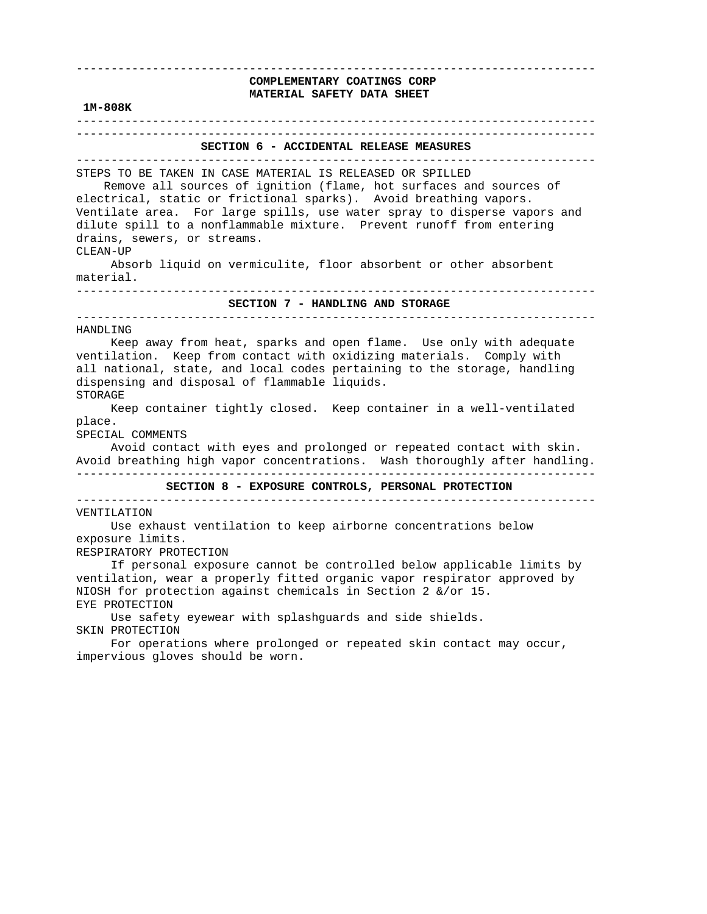| 1M-808K                                                                                                                                                                                                                                                                                                                                                                                                                                                                              | COMPLEMENTARY COATINGS CORP<br>MATERIAL SAFETY DATA SHEET                                                                                                                                                                                                                                                                                                                                                                                          |
|--------------------------------------------------------------------------------------------------------------------------------------------------------------------------------------------------------------------------------------------------------------------------------------------------------------------------------------------------------------------------------------------------------------------------------------------------------------------------------------|----------------------------------------------------------------------------------------------------------------------------------------------------------------------------------------------------------------------------------------------------------------------------------------------------------------------------------------------------------------------------------------------------------------------------------------------------|
| $\begin{array}{cccccccccccccc} \bot & \bot & \bot & \bot & \bot & \bot \end{array}$                                                                                                                                                                                                                                                                                                                                                                                                  |                                                                                                                                                                                                                                                                                                                                                                                                                                                    |
|                                                                                                                                                                                                                                                                                                                                                                                                                                                                                      | SECTION 6 - ACCIDENTAL RELEASE MEASURES                                                                                                                                                                                                                                                                                                                                                                                                            |
| STEPS TO BE TAKEN IN CASE MATERIAL IS RELEASED OR SPILLED<br>Remove all sources of ignition (flame, hot surfaces and sources of<br>electrical, static or frictional sparks). Avoid breathing vapors.<br>Ventilate area. For large spills, use water spray to disperse vapors and<br>dilute spill to a nonflammable mixture. Prevent runoff from entering<br>drains, sewers, or streams.<br>CLEAN-UP<br>Absorb liquid on vermiculite, floor absorbent or other absorbent<br>material. |                                                                                                                                                                                                                                                                                                                                                                                                                                                    |
| SECTION 7 - HANDLING AND STORAGE                                                                                                                                                                                                                                                                                                                                                                                                                                                     |                                                                                                                                                                                                                                                                                                                                                                                                                                                    |
| dispensing and disposal of flammable liquids.<br><b>STORAGE</b><br>place.<br>SPECIAL COMMENTS                                                                                                                                                                                                                                                                                                                                                                                        | Keep away from heat, sparks and open flame. Use only with adequate<br>ventilation. Keep from contact with oxidizing materials. Comply with<br>all national, state, and local codes pertaining to the storage, handling<br>Keep container tightly closed. Keep container in a well-ventilated<br>Avoid contact with eyes and prolonged or repeated contact with skin.<br>Avoid breathing high vapor concentrations. Wash thoroughly after handling. |
| SECTION 8 - EXPOSURE CONTROLS, PERSONAL PROTECTION                                                                                                                                                                                                                                                                                                                                                                                                                                   |                                                                                                                                                                                                                                                                                                                                                                                                                                                    |
| VENTILATION<br>exposure limits.<br>RESPIRATORY PROTECTION                                                                                                                                                                                                                                                                                                                                                                                                                            | Use exhaust ventilation to keep airborne concentrations below<br>If personal exposure cannot be controlled below applicable limits by<br>ventilation, wear a properly fitted organic vapor respirator approved by                                                                                                                                                                                                                                  |
| EYE PROTECTION<br>SKIN PROTECTION<br>impervious gloves should be worn.                                                                                                                                                                                                                                                                                                                                                                                                               | NIOSH for protection against chemicals in Section 2 &/or 15.<br>Use safety eyewear with splashguards and side shields.<br>For operations where prolonged or repeated skin contact may occur,                                                                                                                                                                                                                                                       |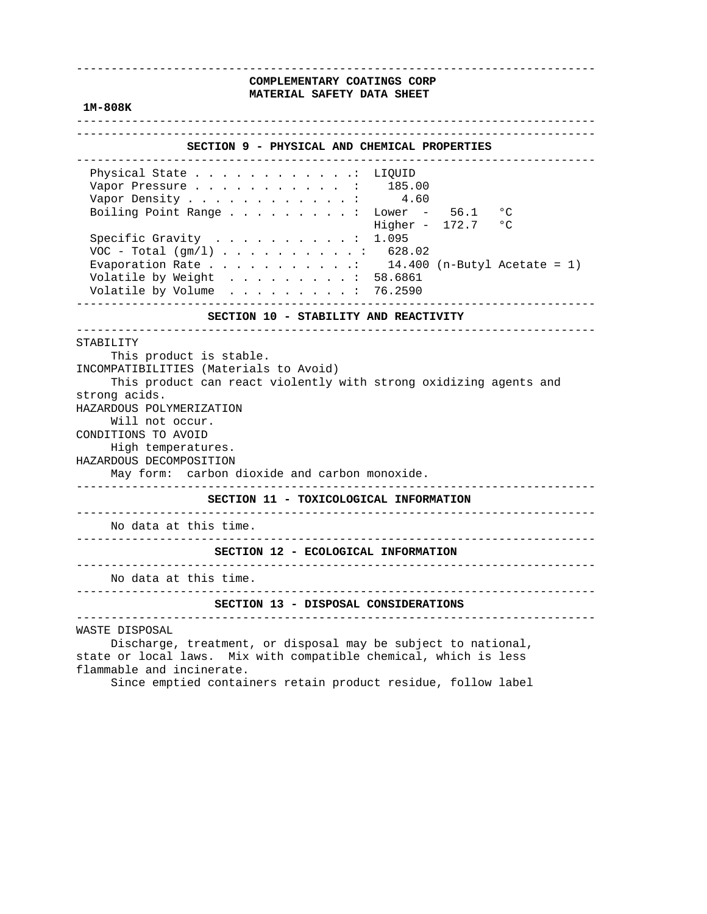## ---------------------------------------------------------------------------  **COMPLEMENTARY COATINGS CORP MATERIAL SAFETY DATA SHEET**

### **1M-808K**

---------------------------------------------------------------------------

# ---------------------------------------------------------------------------  **SECTION 9 - PHYSICAL AND CHEMICAL PROPERTIES**  --------------------------------------------------------------------------- Physical State . . . . . . . . . . . . LIQUID Vapor Pressure . . . . . . . . . . . : 185.00 Vapor Density  $\ldots$  . . . . . . . . . . 4.60 Boiling Point Range . . . . . . . . : Lower - 56.1 °C Higher -  $172.7$  °C Specific Gravity . . . . . . . . . . : 1.095 VOC - Total (gm/l) . . . . . . . . . . : 628.02 Evaporation Rate  $\ldots$  . . . . . . . . . 14.400 (n-Butyl Acetate = 1) Volatile by Weight . . . . . . . . . : 58.6861 Volatile by Volume . . . . . . . . . : 76.2590 ---------------------------------------------------------------------------  **SECTION 10 - STABILITY AND REACTIVITY**  --------------------------------------------------------------------------- STABILITY This product is stable. INCOMPATIBILITIES (Materials to Avoid) This product can react violently with strong oxidizing agents and strong acids. HAZARDOUS POLYMERIZATION Will not occur. CONDITIONS TO AVOID High temperatures. HAZARDOUS DECOMPOSITION May form: carbon dioxide and carbon monoxide. ---------------------------------------------------------------------------  **SECTION 11 - TOXICOLOGICAL INFORMATION**  --------------------------------------------------------------------------- No data at this time. ---------------------------------------------------------------------------  **SECTION 12 - ECOLOGICAL INFORMATION**  --------------------------------------------------------------------------- No data at this time. ---------------------------------------------------------------------------  **SECTION 13 - DISPOSAL CONSIDERATIONS**  ---------------------------------------------------------------------------

WASTE DISPOSAL

 Discharge, treatment, or disposal may be subject to national, state or local laws. Mix with compatible chemical, which is less flammable and incinerate.

Since emptied containers retain product residue, follow label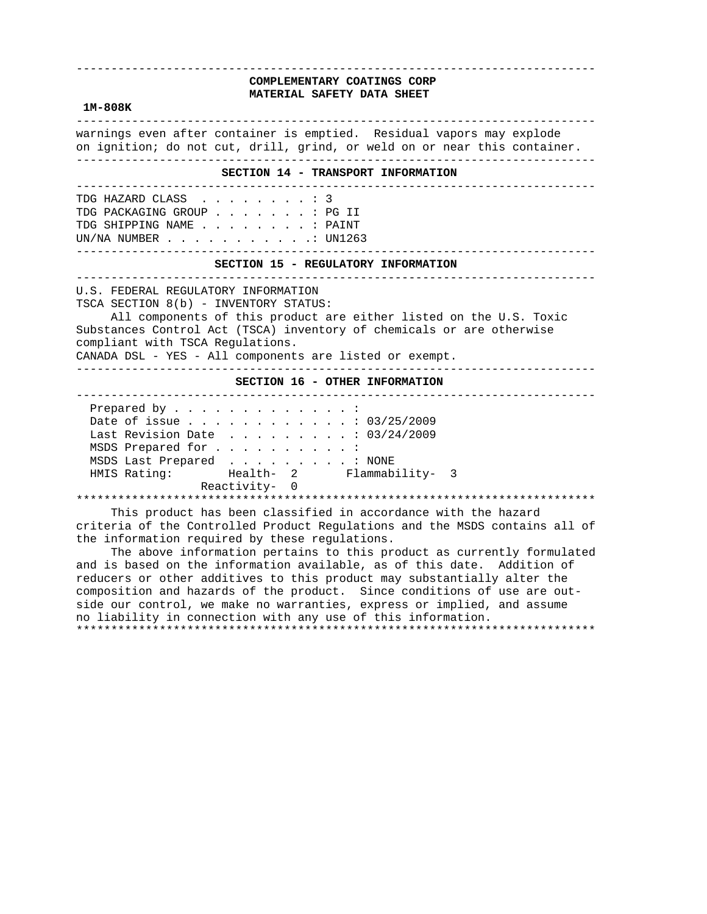# **COMPLEMENTARY COATINGS CORP MATERIAL SAFETY DATA SHEET**

---------------------------------------------------------------------------

#### **1M-808K**

 -------------------------------------------------------------------------- warnings even after container is emptied. Residual vapors may explode on ignition; do not cut, drill, grind, or weld on or near this container. ---------------------------------------------------------------------------  **SECTION 14 - TRANSPORT INFORMATION**  --------------------------------------------------------------------------- TDG HAZARD CLASS . . . . . . . . : 3 TDG PACKAGING GROUP . . . . . . . : PG II TDG SHIPPING NAME . . . . . . . . : PAINT UN/NA NUMBER . . . . . . . . . . .: UN1263 ---------------------------------------------------------------------------  **SECTION 15 - REGULATORY INFORMATION**  --------------------------------------------------------------------------- U.S. FEDERAL REGULATORY INFORMATION TSCA SECTION 8(b) - INVENTORY STATUS: All components of this product are either listed on the U.S. Toxic Substances Control Act (TSCA) inventory of chemicals or are otherwise compliant with TSCA Regulations. CANADA DSL - YES - All components are listed or exempt. ---------------------------------------------------------------------------  **SECTION 16 - OTHER INFORMATION**  --------------------------------------------------------------------------- Prepared by . . . . . . . . . . . . : Date of issue . . . . . . . . . . . . : 03/25/2009 Last Revision Date . . . . . . . . . : 03/24/2009 MSDS Prepared for . . . . . . . . . : MSDS Last Prepared . . . . . . . . . : NONE HMIS Rating: Health- 2 Flammability- 3 Reactivity- 0 \*\*\*\*\*\*\*\*\*\*\*\*\*\*\*\*\*\*\*\*\*\*\*\*\*\*\*\*\*\*\*\*\*\*\*\*\*\*\*\*\*\*\*\*\*\*\*\*\*\*\*\*\*\*\*\*\*\*\*\*\*\*\*\*\*\*\*\*\*\*\*\*\*\*\* This product has been classified in accordance with the hazard criteria of the Controlled Product Regulations and the MSDS contains all of the information required by these regulations.

 The above information pertains to this product as currently formulated and is based on the information available, as of this date. Addition of reducers or other additives to this product may substantially alter the composition and hazards of the product. Since conditions of use are out side our control, we make no warranties, express or implied, and assume no liability in connection with any use of this information. \*\*\*\*\*\*\*\*\*\*\*\*\*\*\*\*\*\*\*\*\*\*\*\*\*\*\*\*\*\*\*\*\*\*\*\*\*\*\*\*\*\*\*\*\*\*\*\*\*\*\*\*\*\*\*\*\*\*\*\*\*\*\*\*\*\*\*\*\*\*\*\*\*\*\*